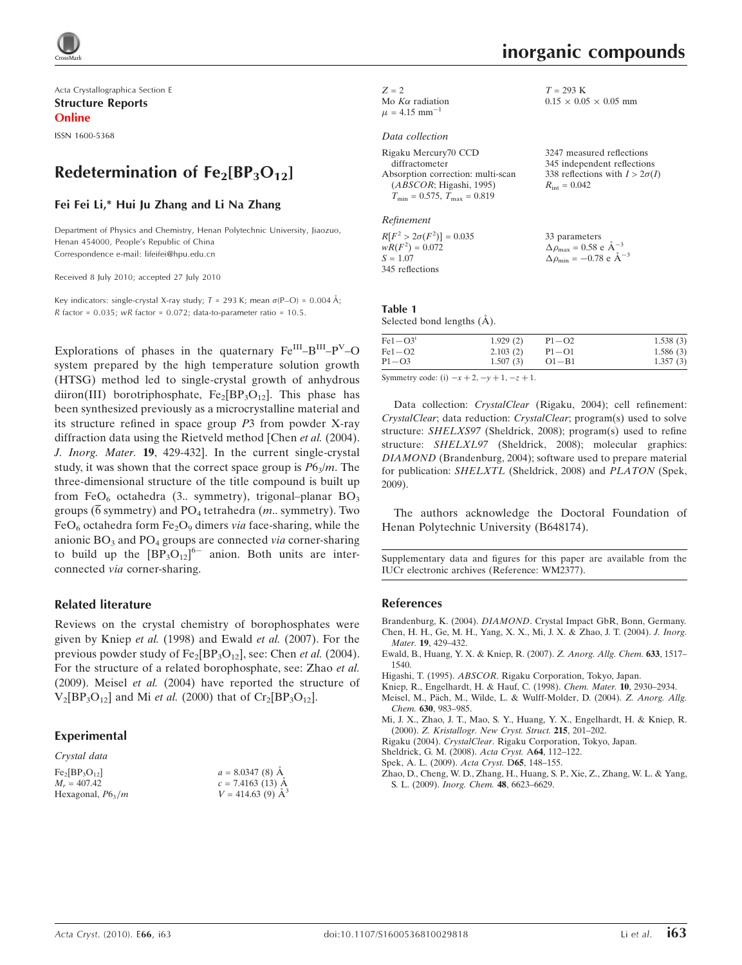

Acta Crystallographica Section E Structure Reports Online

ISSN 1600-5368

## Redetermination of  $Fe<sub>2</sub>[BP<sub>3</sub>O<sub>12</sub>]$

## Fei Fei Li,\* Hui Ju Zhang and Li Na Zhang

Department of Physics and Chemistry, Henan Polytechnic University, Jiaozuo, Henan 454000, People's Republic of China Correspondence e-mail: lifeifei@hpu.edu.cn

Received 8 July 2010; accepted 27 July 2010

Key indicators: single-crystal X-ray study;  $T = 293$  K; mean  $\sigma$ (P-O) = 0.004 Å;  $R$  factor = 0.035; wR factor = 0.072; data-to-parameter ratio = 10.5.

Explorations of phases in the quaternary  $Fe^{III}-B^{III}-P^{V}-O$ system prepared by the high temperature solution growth (HTSG) method led to single-crystal growth of anhydrous diiron(III) borotriphosphate,  $Fe<sub>2</sub>[BP<sub>3</sub>O<sub>12</sub>]$ . This phase has been synthesized previously as a microcrystalline material and its structure refined in space group P3 from powder X-ray diffraction data using the Rietveld method [Chen et al. (2004). J. Inorg. Mater. 19, 429-432]. In the current single-crystal study, it was shown that the correct space group is  $P6<sub>3</sub>/m$ . The three-dimensional structure of the title compound is built up from FeO<sub>6</sub> octahedra (3.. symmetry), trigonal–planar BO<sub>3</sub> groups ( $\overline{6}$  symmetry) and PO<sub>4</sub> tetrahedra (*m*.. symmetry). Two  $FeO<sub>6</sub>$  octahedra form  $Fe<sub>2</sub>O<sub>9</sub>$  dimers via face-sharing, while the anionic  $BO<sub>3</sub>$  and  $PO<sub>4</sub>$  groups are connected via corner-sharing to build up the  $[BP_3O_{12}]^{6-}$  anion. Both units are interconnected via corner-sharing.

## Related literature

Reviews on the crystal chemistry of borophosphates were given by Kniep et al. (1998) and Ewald et al. (2007). For the previous powder study of  $Fe_2[BP_3O_{12}]$ , see: Chen *et al.* (2004). For the structure of a related borophosphate, see: Zhao et al. (2009). Meisel et al. (2004) have reported the structure of  $V_2[BP_3O_{12}]$  and Mi *et al.* (2000) that of  $Cr_2[BP_3O_{12}]$ .

## Experimental

Crystal data

| $Fe2[BP3O12]$       | $a = 8.0347(8)$ Å       |
|---------------------|-------------------------|
| $M_r = 407.42$      | $c = 7.4163$ (13) A     |
| Hexagonal, $P6_3/m$ | $V = 414.63(9)$ $\AA^3$ |

| $Z = 2$ |                               |
|---------|-------------------------------|
|         | Mo $K\alpha$ radiation        |
|         | $\mu = 4.15$ mm <sup>-1</sup> |

## Data collection

| Rigaku Mercury70 CCD                                |
|-----------------------------------------------------|
| diffractometer                                      |
| Absorption correction: multi-scan                   |
| (ABSCOR; Higashi, 1995)                             |
| $T_{\text{min}} = 0.575$ , $T_{\text{max}} = 0.819$ |

Refinement

 $R[F^2 > 2\sigma(F^2)] = 0.035$  $wR(F^2) = 0.072$  $S = 1.07$ 345 reflections

#### Table 1 Selected bond lengths  $(A)$ .

 $Fe1-O3<sup>i</sup>$  1.929 (2)<br>Fe1 - O2 2.103 (2)  $Fe1 - O2$ <br> $P1 - O3$  $1.507(3)$  $P1-O2$  1.538 (3)<br>  $P1-O1$  1.586 (3)  $1,586(3)$ O1-B1  $1.357(3)$ 

Symmetry code: (i)  $-x + 2, -y + 1, -z + 1$ .

Data collection: CrystalClear (Rigaku, 2004); cell refinement: CrystalClear; data reduction: CrystalClear; program(s) used to solve structure: SHELXS97 (Sheldrick, 2008); program(s) used to refine structure: SHELXL97 (Sheldrick, 2008); molecular graphics: DIAMOND (Brandenburg, 2004); software used to prepare material for publication: SHELXTL (Sheldrick, 2008) and PLATON (Spek, 2009).

The authors acknowledge the Doctoral Foundation of Henan Polytechnic University (B648174).

Supplementary data and figures for this paper are available from the IUCr electronic archives (Reference: WM2377).

#### References

Brandenburg, K. (2004). DIAMOND[. Crystal Impact GbR, Bonn, Germany.](https://scripts.iucr.org/cgi-bin/cr.cgi?rm=pdfbb&cnor=wm2377&bbid=BB1) [Chen, H. H., Ge, M. H., Yang, X. X., Mi, J. X. & Zhao, J. T. \(2004\).](https://scripts.iucr.org/cgi-bin/cr.cgi?rm=pdfbb&cnor=wm2377&bbid=BB2) J. Inorg. Mater. 19[, 429–432.](https://scripts.iucr.org/cgi-bin/cr.cgi?rm=pdfbb&cnor=wm2377&bbid=BB2)

- [Ewald, B., Huang, Y. X. & Kniep, R. \(2007\).](https://scripts.iucr.org/cgi-bin/cr.cgi?rm=pdfbb&cnor=wm2377&bbid=BB3) Z. Anorg. Allg. Chem. 633, 1517– [1540.](https://scripts.iucr.org/cgi-bin/cr.cgi?rm=pdfbb&cnor=wm2377&bbid=BB3)
- Higashi, T. (1995). ABSCOR[. Rigaku Corporation, Tokyo, Japan.](https://scripts.iucr.org/cgi-bin/cr.cgi?rm=pdfbb&cnor=wm2377&bbid=BB4)
- [Kniep, R., Engelhardt, H. & Hauf, C. \(1998\).](https://scripts.iucr.org/cgi-bin/cr.cgi?rm=pdfbb&cnor=wm2377&bbid=BB5) Chem. Mater. 10, 2930–2934.
- Meisel, M., Päch, M., Wilde, L. & Wulff-Molder, D. (2004). Z. Anorg. Allg. Chem. 630[, 983–985.](https://scripts.iucr.org/cgi-bin/cr.cgi?rm=pdfbb&cnor=wm2377&bbid=BB6)
- [Mi, J. X., Zhao, J. T., Mao, S. Y., Huang, Y. X., Engelhardt, H. & Kniep, R.](https://scripts.iucr.org/cgi-bin/cr.cgi?rm=pdfbb&cnor=wm2377&bbid=BB7) (2000). [Z. Kristallogr. New Cryst. Struct.](https://scripts.iucr.org/cgi-bin/cr.cgi?rm=pdfbb&cnor=wm2377&bbid=BB7) 215, 201–202.
- Rigaku (2004). CrystalClear[. Rigaku Corporation, Tokyo, Japan.](https://scripts.iucr.org/cgi-bin/cr.cgi?rm=pdfbb&cnor=wm2377&bbid=BB8)
- [Sheldrick, G. M. \(2008\).](https://scripts.iucr.org/cgi-bin/cr.cgi?rm=pdfbb&cnor=wm2377&bbid=BB9) Acta Cryst. A64, 112–122.
- [Spek, A. L. \(2009\).](https://scripts.iucr.org/cgi-bin/cr.cgi?rm=pdfbb&cnor=wm2377&bbid=BB10) Acta Cryst. D65, 148–155.
- [Zhao, D., Cheng, W. D., Zhang, H., Huang, S. P., Xie, Z., Zhang, W. L. & Yang,](https://scripts.iucr.org/cgi-bin/cr.cgi?rm=pdfbb&cnor=wm2377&bbid=BB11) S. L. (2009). [Inorg. Chem.](https://scripts.iucr.org/cgi-bin/cr.cgi?rm=pdfbb&cnor=wm2377&bbid=BB11) 48, 6623–6629.

 $T = 293$  K

 $R_{\rm int} = 0.042$ 

33 parameters  $\Delta \rho_{\text{max}} = 0.58 \text{ e A}^{-3}$  $\Delta \rho_{\rm min} = -0.78 \text{ e A}^{-3}$ 

 $0.15 \times 0.05 \times 0.05$  mm

3247 measured reflections 345 independent reflections 338 reflections with  $I > 2\sigma(I)$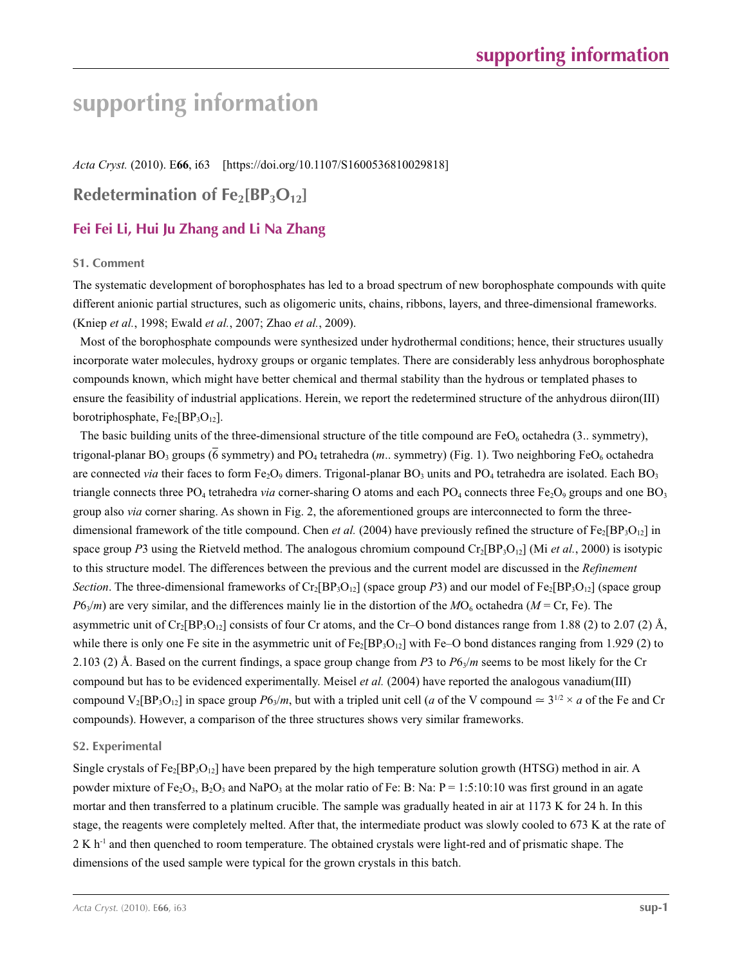# **supporting information**

*Acta Cryst.* (2010). E**66**, i63 [https://doi.org/10.1107/S1600536810029818]

## **Redetermination of Fe<sub>2</sub>[BP<sub>3</sub>O<sub>12</sub>]**

## **Fei Fei Li, Hui Ju Zhang and Li Na Zhang**

## **S1. Comment**

The systematic development of borophosphates has led to a broad spectrum of new borophosphate compounds with quite different anionic partial structures, such as oligomeric units, chains, ribbons, layers, and three-dimensional frameworks. (Kniep *et al.*, 1998; Ewald *et al.*, 2007; Zhao *et al.*, 2009).

Most of the borophosphate compounds were synthesized under hydrothermal conditions; hence, their structures usually incorporate water molecules, hydroxy groups or organic templates. There are considerably less anhydrous borophosphate compounds known, which might have better chemical and thermal stability than the hydrous or templated phases to ensure the feasibility of industrial applications. Herein, we report the redetermined structure of the anhydrous diiron(III) borotriphosphate,  $Fe<sub>2</sub>[BP<sub>3</sub>O<sub>12</sub>]$ .

The basic building units of the three-dimensional structure of the title compound are  $FeO<sub>6</sub>$  octahedra (3.. symmetry), trigonal-planar BO<sub>3</sub> groups ( $\overline{6}$  symmetry) and PO<sub>4</sub> tetrahedra (*m*.. symmetry) (Fig. 1). Two neighboring FeO<sub>6</sub> octahedra are connected *via* their faces to form Fe<sub>2</sub>O<sub>9</sub> dimers. Trigonal-planar BO<sub>3</sub> units and PO<sub>4</sub> tetrahedra are isolated. Each BO<sub>3</sub> triangle connects three PO<sub>4</sub> tetrahedra *via* corner-sharing O atoms and each PO<sub>4</sub> connects three Fe<sub>2</sub>O<sub>9</sub> groups and one BO<sub>3</sub> group also *via* corner sharing. As shown in Fig. 2, the aforementioned groups are interconnected to form the threedimensional framework of the title compound. Chen *et al.* (2004) have previously refined the structure of  $Fe<sub>2</sub>[BP<sub>3</sub>O<sub>12</sub>]$  in space group *P*3 using the Rietveld method. The analogous chromium compound  $Cr_2[BP_3O_{12}]$  (Mi *et al.*, 2000) is isotypic to this structure model. The differences between the previous and the current model are discussed in the *Refinement Section*. The three-dimensional frameworks of  $Cr_2[BP_3O_{12}]$  (space group *P*3) and our model of  $Fe_2[BP_3O_{12}]$  (space group  $P6_3/m$ ) are very similar, and the differences mainly lie in the distortion of the  $M$ O<sub>6</sub> octahedra ( $M$  = Cr, Fe). The asymmetric unit of  $Cr_2[BP_3O_{12}]$  consists of four Cr atoms, and the Cr–O bond distances range from 1.88 (2) to 2.07 (2) Å, while there is only one Fe site in the asymmetric unit of  $Fe_2[BP_3O_{12}]$  with Fe–O bond distances ranging from 1.929 (2) to 2.103 (2) Å. Based on the current findings, a space group change from *P*3 to *P*6<sub>3</sub>/*m* seems to be most likely for the Cr compound but has to be evidenced experimentally. Meisel *et al.* (2004) have reported the analogous vanadium(III) compound  $V_2[BP_3O_{12}]$  in space group  $P6\sqrt{n}$ , but with a tripled unit cell (*a* of the V compound  $\approx 3^{1/2} \times a$  of the Fe and Cr compounds). However, a comparison of the three structures shows very similar frameworks.

## **S2. Experimental**

Single crystals of  $Fe_2[BP_3O_{12}]$  have been prepared by the high temperature solution growth (HTSG) method in air. A powder mixture of Fe<sub>2</sub>O<sub>3</sub>, B<sub>2</sub>O<sub>3</sub> and NaPO<sub>3</sub> at the molar ratio of Fe: B: Na: P = 1:5:10:10 was first ground in an agate mortar and then transferred to a platinum crucible. The sample was gradually heated in air at 1173 K for 24 h. In this stage, the reagents were completely melted. After that, the intermediate product was slowly cooled to 673 K at the rate of 2 K h<sup>-1</sup> and then quenched to room temperature. The obtained crystals were light-red and of prismatic shape. The dimensions of the used sample were typical for the grown crystals in this batch.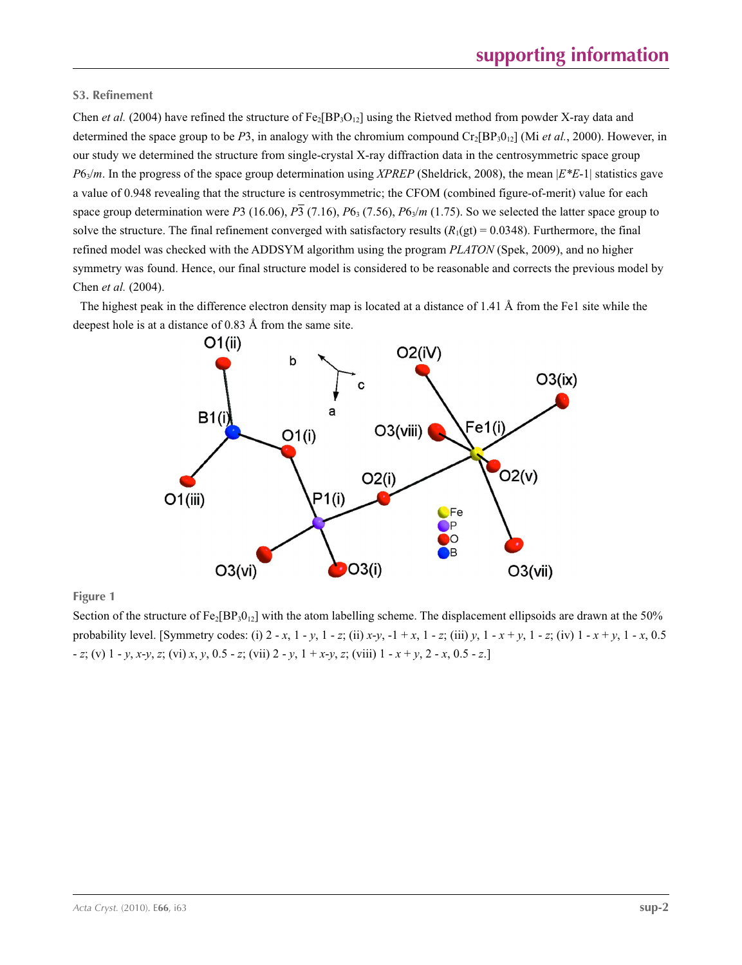## **S3. Refinement**

Chen *et al.* (2004) have refined the structure of  $Fe_2[BP_3O_{12}]$  using the Rietved method from powder X-ray data and determined the space group to be *P*3, in analogy with the chromium compound  $Cr_2[BP_30_{12}]$  (Mi *et al.*, 2000). However, in our study we determined the structure from single-crystal X-ray diffraction data in the centrosymmetric space group *P*63/*m*. In the progress of the space group determination using *XPREP* (Sheldrick, 2008), the mean |*E\*E*-1| statistics gave a value of 0.948 revealing that the structure is centrosymmetric; the CFOM (combined figure-of-merit) value for each space group determination were *P*3 (16.06),  $\overline{P_3}$  (7.16),  $P_6$ <sub>3</sub> (7.56),  $P_6\sqrt{m}$  (1.75). So we selected the latter space group to solve the structure. The final refinement converged with satisfactory results  $(R_1(gt) = 0.0348)$ . Furthermore, the final refined model was checked with the ADDSYM algorithm using the program *PLATON* (Spek, 2009), and no higher symmetry was found. Hence, our final structure model is considered to be reasonable and corrects the previous model by Chen *et al.* (2004).

The highest peak in the difference electron density map is located at a distance of 1.41 Å from the Fe1 site while the deepest hole is at a distance of 0.83 Å from the same site.



**Figure 1**

Section of the structure of  $Fe<sub>2</sub>[BP<sub>3</sub>0<sub>12</sub>]$  with the atom labelling scheme. The displacement ellipsoids are drawn at the 50% probability level. [Symmetry codes: (i)  $2 - x$ ,  $1 - y$ ,  $1 - z$ ; (ii)  $x-y$ ,  $-1 + x$ ,  $1 - z$ ; (iii)  $y$ ,  $1 - x + y$ ,  $1 - z$ ; (iv)  $1 - x + y$ ,  $1 - x$ , 0.5 - *z*; (v) 1 - *y*, *x*-*y*, *z*; (vi) *x*, *y*, 0.5 - *z*; (vii) 2 - *y*, 1 + *x*-*y*, *z*; (viii) 1 - *x* + *y*, 2 - *x*, 0.5 - *z*.]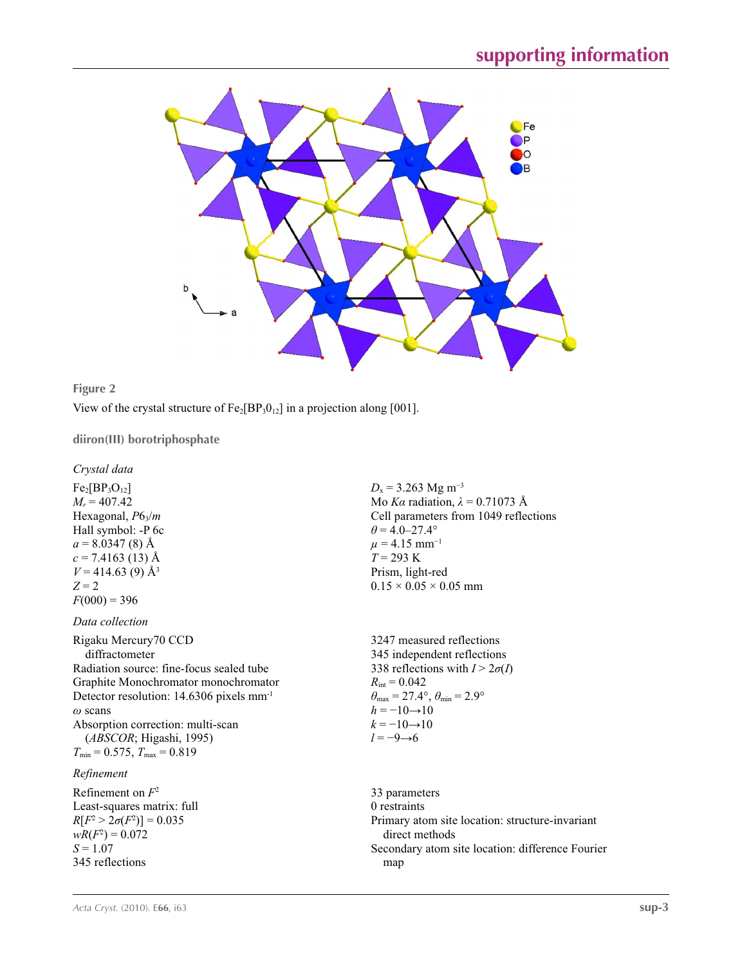



View of the crystal structure of  $Fe_2[BP_3O_{12}]$  in a projection along [001].

**diiron(III) borotriphosphate** 

*Crystal data*

 $Fe<sub>2</sub>[BP<sub>3</sub>O<sub>12</sub>]$  $M_r = 407.42$ Hexagonal, *P*63/*m* Hall symbol: -P 6c  $a = 8.0347(8)$  Å  $c = 7.4163(13)$  Å  $V = 414.63$  (9) Å<sup>3</sup>  $Z = 2$  $F(000) = 396$ 

*Data collection*

Rigaku Mercury70 CCD diffractometer Radiation source: fine-focus sealed tube Graphite Monochromator monochromator Detector resolution: 14.6306 pixels mm-1 *ω* scans Absorption correction: multi-scan (*ABSCOR*; Higashi, 1995)  $T_{\text{min}} = 0.575$ ,  $T_{\text{max}} = 0.819$ 

## *Refinement*

Refinement on *F*<sup>2</sup> Least-squares matrix: full  $R[F^2 > 2\sigma(F^2)] = 0.035$  $wR(F^2) = 0.072$ *S* = 1.07 345 reflections

 $D_x$  = 3.263 Mg m<sup>-3</sup> Mo *Kα* radiation,  $\lambda = 0.71073$  Å Cell parameters from 1049 reflections  $\theta$  = 4.0–27.4°  $\mu$  = 4.15 mm<sup>-1</sup> *T* = 293 K Prism, light-red  $0.15 \times 0.05 \times 0.05$  mm

3247 measured reflections 345 independent reflections 338 reflections with  $I > 2\sigma(I)$  $R_{\text{int}} = 0.042$  $\theta_{\text{max}} = 27.4^{\circ}, \theta_{\text{min}} = 2.9^{\circ}$  $h = -10 \rightarrow 10$  $k = -10 \rightarrow 10$ *l* = −9→6

33 parameters 0 restraints Primary atom site location: structure-invariant direct methods Secondary atom site location: difference Fourier map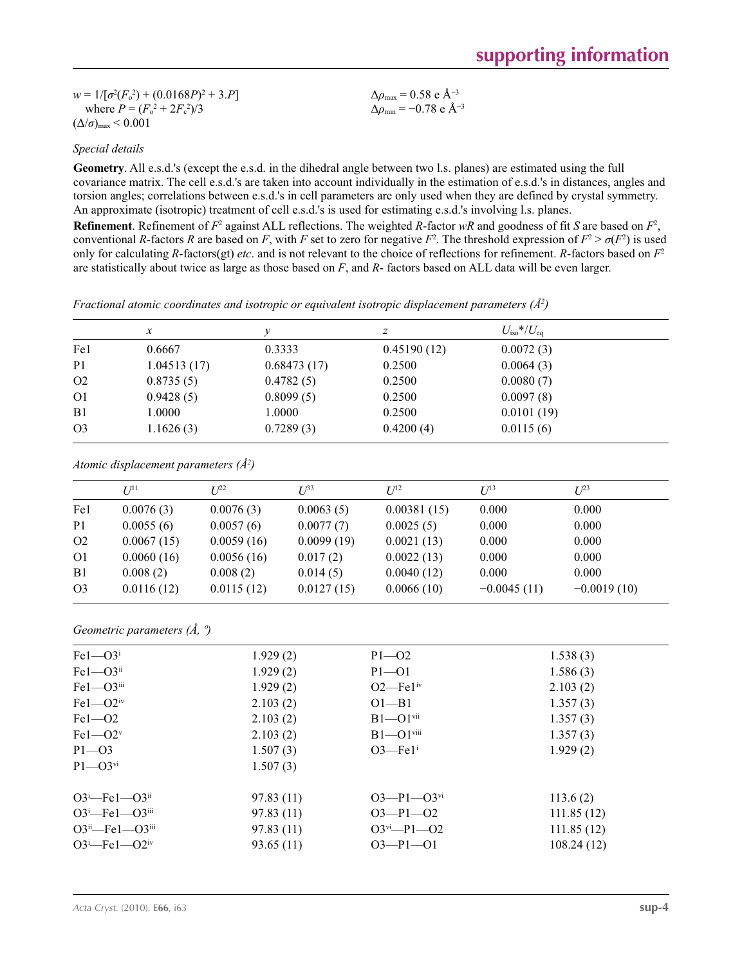| $w = 1/[\sigma^2(F_0^2) + (0.0168P)^2 + 3.P]$ | $\Delta\rho_{\rm max}$ = 0.58 e Å <sup>-3</sup>  |
|-----------------------------------------------|--------------------------------------------------|
| where $P = (F_o^2 + 2F_c^2)/3$                | $\Delta\rho_{\rm min}$ = -0.78 e Å <sup>-3</sup> |
| $(\Delta/\sigma)_{\text{max}}$ < 0.001        |                                                  |

## *Special details*

**Geometry**. All e.s.d.'s (except the e.s.d. in the dihedral angle between two l.s. planes) are estimated using the full covariance matrix. The cell e.s.d.'s are taken into account individually in the estimation of e.s.d.'s in distances, angles and torsion angles; correlations between e.s.d.'s in cell parameters are only used when they are defined by crystal symmetry. An approximate (isotropic) treatment of cell e.s.d.'s is used for estimating e.s.d.'s involving l.s. planes.

**Refinement**. Refinement of  $F^2$  against ALL reflections. The weighted *R*-factor  $wR$  and goodness of fit *S* are based on  $F^2$ , conventional *R*-factors *R* are based on *F*, with *F* set to zero for negative  $F^2$ . The threshold expression of  $F^2 > \sigma(F^2)$  is used only for calculating *R*-factors(gt) *etc*. and is not relevant to the choice of reflections for refinement. *R*-factors based on *F*<sup>2</sup> are statistically about twice as large as those based on *F*, and *R*- factors based on ALL data will be even larger.

*Fractional atomic coordinates and isotropic or equivalent isotropic displacement parameters (Å2 )*

|                | $\mathcal{X}$ |             | z           | $U_{\rm iso} * / U_{\rm eq}$ |  |
|----------------|---------------|-------------|-------------|------------------------------|--|
| Fe1            | 0.6667        | 0.3333      | 0.45190(12) | 0.0072(3)                    |  |
| P <sub>1</sub> | 1.04513(17)   | 0.68473(17) | 0.2500      | 0.0064(3)                    |  |
| O <sub>2</sub> | 0.8735(5)     | 0.4782(5)   | 0.2500      | 0.0080(7)                    |  |
| O <sub>1</sub> | 0.9428(5)     | 0.8099(5)   | 0.2500      | 0.0097(8)                    |  |
| B <sub>1</sub> | 1.0000        | 1.0000      | 0.2500      | 0.0101(19)                   |  |
| O <sub>3</sub> | 1.1626(3)     | 0.7289(3)   | 0.4200(4)   | 0.0115(6)                    |  |

*Atomic displacement parameters (Å2 )*

|                | $U^{11}$   | $I^{22}$   | $I^{\beta 3}$ | I/I <sup>2</sup> | $I/I^3$       | $L^{23}$      |
|----------------|------------|------------|---------------|------------------|---------------|---------------|
| Fe1            | 0.0076(3)  | 0.0076(3)  | 0.0063(5)     | 0.00381(15)      | 0.000         | 0.000         |
| P <sub>1</sub> | 0.0055(6)  | 0.0057(6)  | 0.0077(7)     | 0.0025(5)        | 0.000         | 0.000         |
| O <sub>2</sub> | 0.0067(15) | 0.0059(16) | 0.0099(19)    | 0.0021(13)       | 0.000         | 0.000         |
| O <sub>1</sub> | 0.0060(16) | 0.0056(16) | 0.017(2)      | 0.0022(13)       | 0.000         | 0.000         |
| B <sub>1</sub> | 0.008(2)   | 0.008(2)   | 0.014(5)      | 0.0040(12)       | 0.000         | 0.000         |
| O <sub>3</sub> | 0.0116(12) | 0.0115(12) | 0.0127(15)    | 0.0066(10)       | $-0.0045(11)$ | $-0.0019(10)$ |
|                |            |            |               |                  |               |               |

*Geometric parameters (Å, º)*

| $Fe1 - O3$ <sup>i</sup>          | 1.929(2)  | $P1 - O2$                    | 1.538(3)   |
|----------------------------------|-----------|------------------------------|------------|
| $Fe1 - O3ii$                     | 1.929(2)  | $P1 - O1$                    | 1.586(3)   |
| $Fe1 - O3$ <sup>iii</sup>        | 1.929(2)  | $O2$ —Fe $1iv$               | 2.103(2)   |
| $Fe1 - O2$ <sup>iv</sup>         | 2.103(2)  | $O1 - B1$                    | 1.357(3)   |
| $Fe1 - O2$                       | 2.103(2)  | $B1 - O1$ <sup>vii</sup>     | 1.357(3)   |
| $Fe1 - O2v$                      | 2.103(2)  | $B1 - O1$ <sup>viii</sup>    | 1.357(3)   |
| $P1 - O3$                        | 1.507(3)  | $O3$ —Fe $1^i$               | 1.929(2)   |
| $P1 - Q3$ <sup>vi</sup>          | 1.507(3)  |                              |            |
| $O3^i$ -Fel- $O3^i$              | 97.83(11) | $O3 - P1 - O3$ <sup>vi</sup> | 113.6(2)   |
| $O3^i$ -Fel- $O3$ <sup>iii</sup> | 97.83(11) | $O3 - P1 - O2$               | 111.85(12) |
| $O3^{ii}$ -Fel- $O3^{iii}$       | 97.83(11) | $O3^{vi} - P1 - O2$          | 111.85(12) |
| $O3^i$ -Fel- $O2^{iv}$           | 93.65(11) | $O3 - P1 - O1$               | 108.24(12) |
|                                  |           |                              |            |